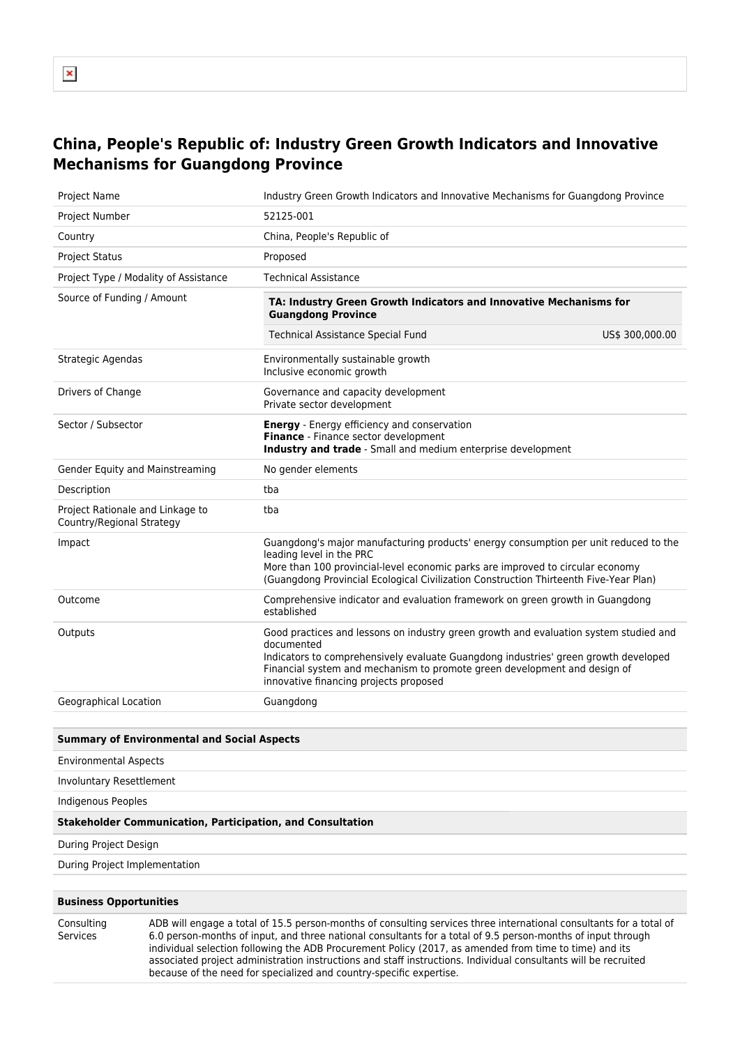## **China, People's Republic of: Industry Green Growth Indicators and Innovative Mechanisms for Guangdong Province**

| <b>Project Name</b>                                           | Industry Green Growth Indicators and Innovative Mechanisms for Guangdong Province                                                                                                                                                                                                                                 |                 |
|---------------------------------------------------------------|-------------------------------------------------------------------------------------------------------------------------------------------------------------------------------------------------------------------------------------------------------------------------------------------------------------------|-----------------|
| Project Number                                                | 52125-001                                                                                                                                                                                                                                                                                                         |                 |
| Country                                                       | China, People's Republic of                                                                                                                                                                                                                                                                                       |                 |
| <b>Project Status</b>                                         | Proposed                                                                                                                                                                                                                                                                                                          |                 |
| Project Type / Modality of Assistance                         | <b>Technical Assistance</b>                                                                                                                                                                                                                                                                                       |                 |
| Source of Funding / Amount                                    | TA: Industry Green Growth Indicators and Innovative Mechanisms for<br><b>Guangdong Province</b>                                                                                                                                                                                                                   |                 |
|                                                               | <b>Technical Assistance Special Fund</b>                                                                                                                                                                                                                                                                          | US\$ 300,000.00 |
| Strategic Agendas                                             | Environmentally sustainable growth<br>Inclusive economic growth                                                                                                                                                                                                                                                   |                 |
| Drivers of Change                                             | Governance and capacity development<br>Private sector development                                                                                                                                                                                                                                                 |                 |
| Sector / Subsector                                            | <b>Energy</b> - Energy efficiency and conservation<br>Finance - Finance sector development<br>Industry and trade - Small and medium enterprise development                                                                                                                                                        |                 |
| Gender Equity and Mainstreaming                               | No gender elements                                                                                                                                                                                                                                                                                                |                 |
| Description                                                   | tba                                                                                                                                                                                                                                                                                                               |                 |
| Project Rationale and Linkage to<br>Country/Regional Strategy | tba                                                                                                                                                                                                                                                                                                               |                 |
| Impact                                                        | Guangdong's major manufacturing products' energy consumption per unit reduced to the<br>leading level in the PRC<br>More than 100 provincial-level economic parks are improved to circular economy<br>(Guangdong Provincial Ecological Civilization Construction Thirteenth Five-Year Plan)                       |                 |
| Outcome                                                       | Comprehensive indicator and evaluation framework on green growth in Guangdong<br>established                                                                                                                                                                                                                      |                 |
| Outputs                                                       | Good practices and lessons on industry green growth and evaluation system studied and<br>documented<br>Indicators to comprehensively evaluate Guangdong industries' green growth developed<br>Financial system and mechanism to promote green development and design of<br>innovative financing projects proposed |                 |
| Geographical Location                                         | Guangdong                                                                                                                                                                                                                                                                                                         |                 |
|                                                               |                                                                                                                                                                                                                                                                                                                   |                 |

## **Summary of Environmental and Social Aspects**

Environmental Aspects

Involuntary Resettlement

Indigenous Peoples

## **Stakeholder Communication, Participation, and Consultation**

During Project Design

During Project Implementation

## **Business Opportunities**

Consulting Services

ADB will engage a total of 15.5 person-months of consulting services three international consultants for a total of 6.0 person-months of input, and three national consultants for a total of 9.5 person-months of input through individual selection following the ADB Procurement Policy (2017, as amended from time to time) and its associated project administration instructions and staff instructions. Individual consultants will be recruited because of the need for specialized and country-specific expertise.